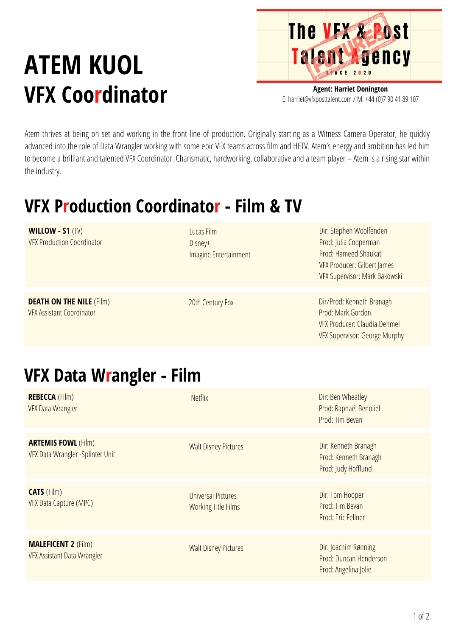## **ATEM KUOL VFX Coordinator**

**The VFX & Post** Talent Agency

**Agent: Harriet Donington** E: harriet@vfxposttalent.com / M:+44(0)7904189107

Atem thrives at being on set and working in the front line of production. Originally starting as a Witness Camera Operator, he quickly advanced into the role of Data Wrangler working with some epic VFX teams across film and HETV. Atem's energy and ambition has led him to become a brilliant and talented VFX Coordinator. Charismatic, hardworking, collaborative and a team player – Atem is a rising star within the industry.

## **VFX Production Coordinator - Film & TV**

| <b>WILLOW - S1 <math>(TV)</math></b><br><b>VFX Production Coordinator</b> | Lucas Film<br>Disney+<br>Imagine Entertainment | Dir: Stephen Woolfenden<br>Prod: Julia Cooperman<br>Prod: Hameed Shaukat<br>VFX Producer: Gilbert James<br>VFX Supervisor: Mark Bakowski |
|---------------------------------------------------------------------------|------------------------------------------------|------------------------------------------------------------------------------------------------------------------------------------------|
| <b>DEATH ON THE NILE (Film)</b><br><b>VFX Assistant Coordinator</b>       | 20th Century Fox                               | Dir/Prod: Kenneth Branagh<br>Prod: Mark Gordon<br>VFX Producer: Claudia Dehmel<br>VFX Supervisor: George Murphy                          |

## **VFX Data Wrangler - Film**

| <b>REBECCA</b> (Film)<br><b>VFX Data Wrangler</b>                | <b>Netflix</b>                                          | Dir: Ben Wheatley<br>Prod: Raphaël Benoliel<br>Prod: Tim Bevan         |
|------------------------------------------------------------------|---------------------------------------------------------|------------------------------------------------------------------------|
| <b>ARTEMIS FOWL (Film)</b><br>VFX Data Wrangler - Splinter Unit  | <b>Walt Disney Pictures</b>                             | Dir: Kenneth Branagh<br>Prod: Kenneth Branagh<br>Prod: Judy Hofflund   |
| <b>CATS</b> (Film)<br>VFX Data Capture (MPC)                     | <b>Universal Pictures</b><br><b>Working Title Films</b> | Dir: Tom Hooper<br>Prod: Tim Bevan<br>Prod: Eric Fellner               |
| <b>MALEFICENT 2 (Film)</b><br><b>VFX Assistant Data Wrangler</b> | <b>Walt Disney Pictures</b>                             | Dir: Joachim Rønning<br>Prod: Duncan Henderson<br>Prod: Angelina Jolie |